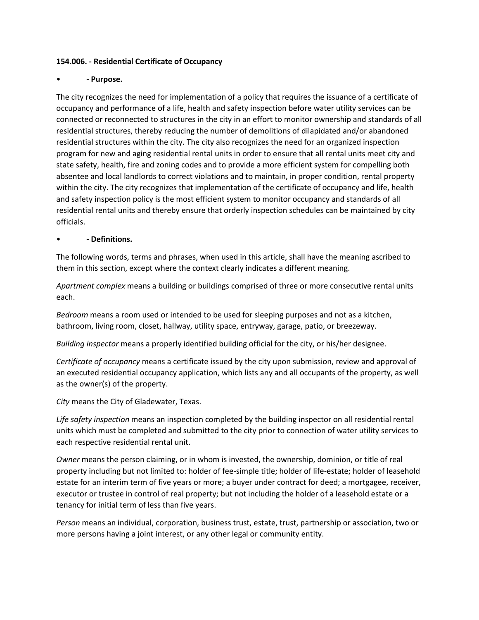#### **154.006. - Residential Certificate of Occupancy**

## • **- Purpose.**

The city recognizes the need for implementation of a policy that requires the issuance of a certificate of occupancy and performance of a life, health and safety inspection before water utility services can be connected or reconnected to structures in the city in an effort to monitor ownership and standards of all residential structures, thereby reducing the number of demolitions of dilapidated and/or abandoned residential structures within the city. The city also recognizes the need for an organized inspection program for new and aging residential rental units in order to ensure that all rental units meet city and state safety, health, fire and zoning codes and to provide a more efficient system for compelling both absentee and local landlords to correct violations and to maintain, in proper condition, rental property within the city. The city recognizes that implementation of the certificate of occupancy and life, health and safety inspection policy is the most efficient system to monitor occupancy and standards of all residential rental units and thereby ensure that orderly inspection schedules can be maintained by city officials.

## • **- Definitions.**

The following words, terms and phrases, when used in this article, shall have the meaning ascribed to them in this section, except where the context clearly indicates a different meaning.

*Apartment complex* means a building or buildings comprised of three or more consecutive rental units each.

*Bedroom* means a room used or intended to be used for sleeping purposes and not as a kitchen, bathroom, living room, closet, hallway, utility space, entryway, garage, patio, or breezeway.

*Building inspector* means a properly identified building official for the city, or his/her designee.

*Certificate of occupancy* means a certificate issued by the city upon submission, review and approval of an executed residential occupancy application, which lists any and all occupants of the property, as well as the owner(s) of the property.

*City* means the City of Gladewater, Texas.

*Life safety inspection* means an inspection completed by the building inspector on all residential rental units which must be completed and submitted to the city prior to connection of water utility services to each respective residential rental unit.

*Owner* means the person claiming, or in whom is invested, the ownership, dominion, or title of real property including but not limited to: holder of fee-simple title; holder of life-estate; holder of leasehold estate for an interim term of five years or more; a buyer under contract for deed; a mortgagee, receiver, executor or trustee in control of real property; but not including the holder of a leasehold estate or a tenancy for initial term of less than five years.

*Person* means an individual, corporation, business trust, estate, trust, partnership or association, two or more persons having a joint interest, or any other legal or community entity.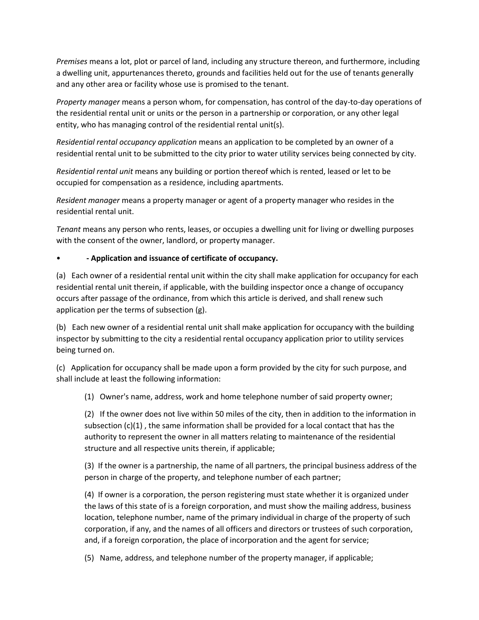*Premises* means a lot, plot or parcel of land, including any structure thereon, and furthermore, including a dwelling unit, appurtenances thereto, grounds and facilities held out for the use of tenants generally and any other area or facility whose use is promised to the tenant.

*Property manager* means a person whom, for compensation, has control of the day-to-day operations of the residential rental unit or units or the person in a partnership or corporation, or any other legal entity, who has managing control of the residential rental unit(s).

*Residential rental occupancy application* means an application to be completed by an owner of a residential rental unit to be submitted to the city prior to water utility services being connected by city.

*Residential rental unit* means any building or portion thereof which is rented, leased or let to be occupied for compensation as a residence, including apartments.

*Resident manager* means a property manager or agent of a property manager who resides in the residential rental unit.

*Tenant* means any person who rents, leases, or occupies a dwelling unit for living or dwelling purposes with the consent of the owner, landlord, or property manager.

## • **- Application and issuance of certificate of occupancy.**

(a) Each owner of a residential rental unit within the city shall make application for occupancy for each residential rental unit therein, if applicable, with the building inspector once a change of occupancy occurs after passage of the ordinance, from which this article is derived, and shall renew such application per the terms of subsection (g).

(b) Each new owner of a residential rental unit shall make application for occupancy with the building inspector by submitting to the city a residential rental occupancy application prior to utility services being turned on.

(c) Application for occupancy shall be made upon a form provided by the city for such purpose, and shall include at least the following information:

(1) Owner's name, address, work and home telephone number of said property owner;

(2) If the owner does not live within 50 miles of the city, then in addition to the information in subsection  $(c)(1)$ , the same information shall be provided for a local contact that has the authority to represent the owner in all matters relating to maintenance of the residential structure and all respective units therein, if applicable;

(3) If the owner is a partnership, the name of all partners, the principal business address of the person in charge of the property, and telephone number of each partner;

(4) If owner is a corporation, the person registering must state whether it is organized under the laws of this state of is a foreign corporation, and must show the mailing address, business location, telephone number, name of the primary individual in charge of the property of such corporation, if any, and the names of all officers and directors or trustees of such corporation, and, if a foreign corporation, the place of incorporation and the agent for service;

(5) Name, address, and telephone number of the property manager, if applicable;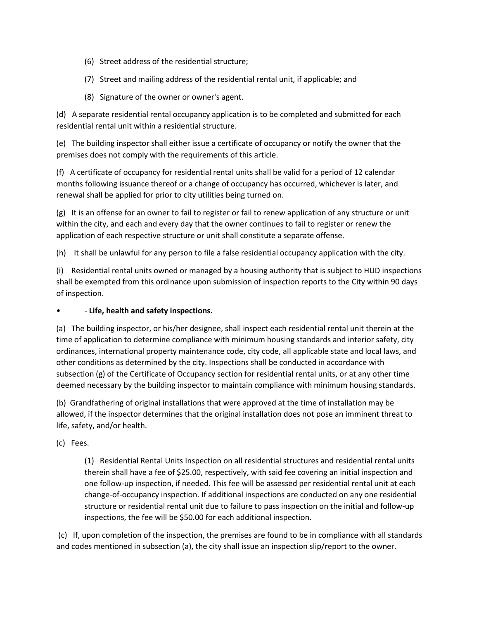- (6) Street address of the residential structure;
- (7) Street and mailing address of the residential rental unit, if applicable; and
- (8) Signature of the owner or owner's agent.

(d) A separate residential rental occupancy application is to be completed and submitted for each residential rental unit within a residential structure.

(e) The building inspector shall either issue a certificate of occupancy or notify the owner that the premises does not comply with the requirements of this article.

(f) A certificate of occupancy for residential rental units shall be valid for a period of 12 calendar months following issuance thereof or a change of occupancy has occurred, whichever is later, and renewal shall be applied for prior to city utilities being turned on.

(g) It is an offense for an owner to fail to register or fail to renew application of any structure or unit within the city, and each and every day that the owner continues to fail to register or renew the application of each respective structure or unit shall constitute a separate offense.

(h) It shall be unlawful for any person to file a false residential occupancy application with the city.

(i) Residential rental units owned or managed by a housing authority that is subject to HUD inspections shall be exempted from this ordinance upon submission of inspection reports to the City within 90 days of inspection.

• - **Life, health and safety inspections.**

(a) The building inspector, or his/her designee, shall inspect each residential rental unit therein at the time of application to determine compliance with minimum housing standards and interior safety, city ordinances, international property maintenance code, city code, all applicable state and local laws, and other conditions as determined by the city. Inspections shall be conducted in accordance with subsection (g) of the Certificate of Occupancy section for residential rental units, or at any other time deemed necessary by the building inspector to maintain compliance with minimum housing standards.

(b) Grandfathering of original installations that were approved at the time of installation may be allowed, if the inspector determines that the original installation does not pose an imminent threat to life, safety, and/or health.

(c) Fees.

(1) Residential Rental Units Inspection on all residential structures and residential rental units therein shall have a fee of \$25.00, respectively, with said fee covering an initial inspection and one follow-up inspection, if needed. This fee will be assessed per residential rental unit at each change-of-occupancy inspection. If additional inspections are conducted on any one residential structure or residential rental unit due to failure to pass inspection on the initial and follow-up inspections, the fee will be \$50.00 for each additional inspection.

(c) If, upon completion of the inspection, the premises are found to be in compliance with all standards and codes mentioned in subsection (a), the city shall issue an inspection slip/report to the owner.